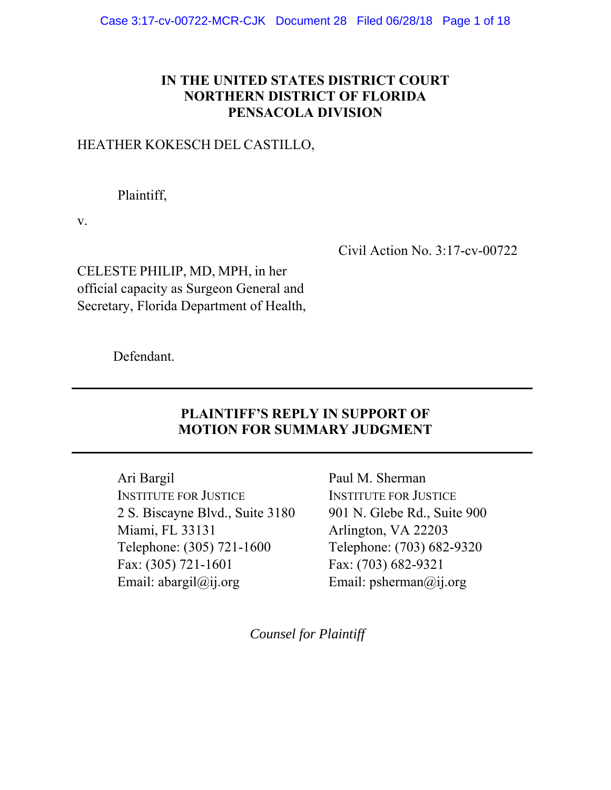### **IN THE UNITED STATES DISTRICT COURT NORTHERN DISTRICT OF FLORIDA PENSACOLA DIVISION**

### HEATHER KOKESCH DEL CASTILLO,

Plaintiff,

v.

Civil Action No. 3:17-cv-00722

CELESTE PHILIP, MD, MPH, in her official capacity as Surgeon General and Secretary, Florida Department of Health,

Defendant.

## **PLAINTIFF'S REPLY IN SUPPORT OF MOTION FOR SUMMARY JUDGMENT**

**\_\_\_\_\_\_\_\_\_\_\_\_\_\_\_\_\_\_\_\_\_\_\_\_\_\_\_\_\_\_\_\_\_\_\_\_\_\_\_\_\_\_\_\_\_\_\_\_\_\_\_\_\_\_\_\_\_\_\_\_\_\_\_\_\_\_** 

**\_\_\_\_\_\_\_\_\_\_\_\_\_\_\_\_\_\_\_\_\_\_\_\_\_\_\_\_\_\_\_\_\_\_\_\_\_\_\_\_\_\_\_\_\_\_\_\_\_\_\_\_\_\_\_\_\_\_\_\_\_\_\_\_\_\_** 

Ari Bargil INSTITUTE FOR JUSTICE 2 S. Biscayne Blvd., Suite 3180 Miami, FL 33131 Telephone: (305) 721-1600 Fax: (305) 721-1601 Email: abargil@ij.org

Paul M. Sherman INSTITUTE FOR JUSTICE 901 N. Glebe Rd., Suite 900 Arlington, VA 22203 Telephone: (703) 682-9320 Fax: (703) 682-9321 Email: psherman@ij.org

*Counsel for Plaintiff*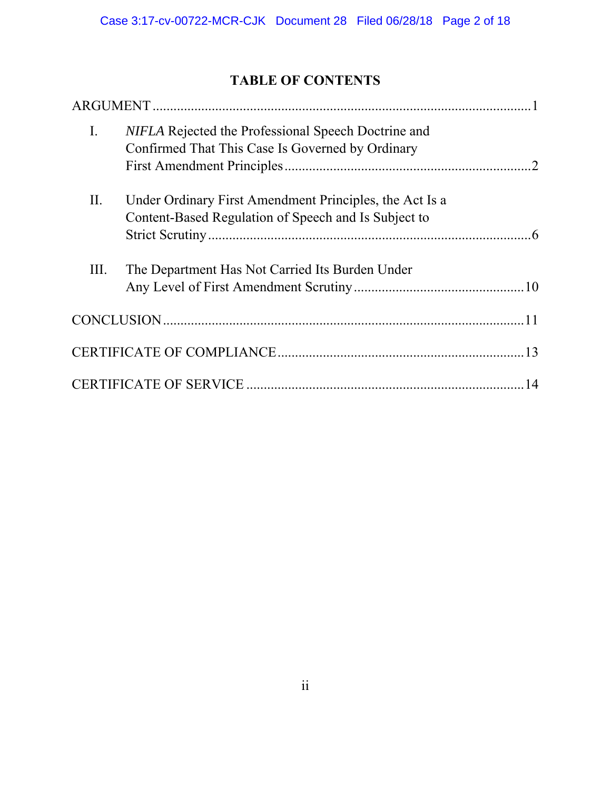# **TABLE OF CONTENTS**

| $\mathbf{I}$ . | NIFLA Rejected the Professional Speech Doctrine and<br>Confirmed That This Case Is Governed by Ordinary         |
|----------------|-----------------------------------------------------------------------------------------------------------------|
| Π.             | Under Ordinary First Amendment Principles, the Act Is a<br>Content-Based Regulation of Speech and Is Subject to |
| III.           | The Department Has Not Carried Its Burden Under                                                                 |
|                |                                                                                                                 |
|                |                                                                                                                 |
|                |                                                                                                                 |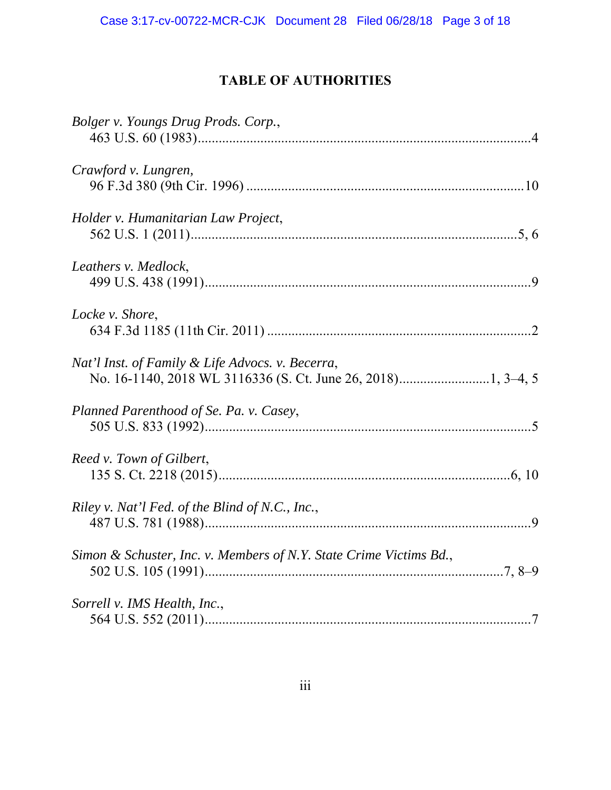# **TABLE OF AUTHORITIES**

| Bolger v. Youngs Drug Prods. Corp.,                                |  |
|--------------------------------------------------------------------|--|
| Crawford v. Lungren,                                               |  |
| Holder v. Humanitarian Law Project,                                |  |
| Leathers v. Medlock,                                               |  |
| Locke v. Shore,                                                    |  |
| Nat'l Inst. of Family & Life Advocs. v. Becerra,                   |  |
| Planned Parenthood of Se. Pa. v. Casey,                            |  |
| Reed v. Town of Gilbert,                                           |  |
| Riley v. Nat'l Fed. of the Blind of N.C., Inc.,                    |  |
| Simon & Schuster, Inc. v. Members of N.Y. State Crime Victims Bd., |  |
| Sorrell v. IMS Health, Inc.,                                       |  |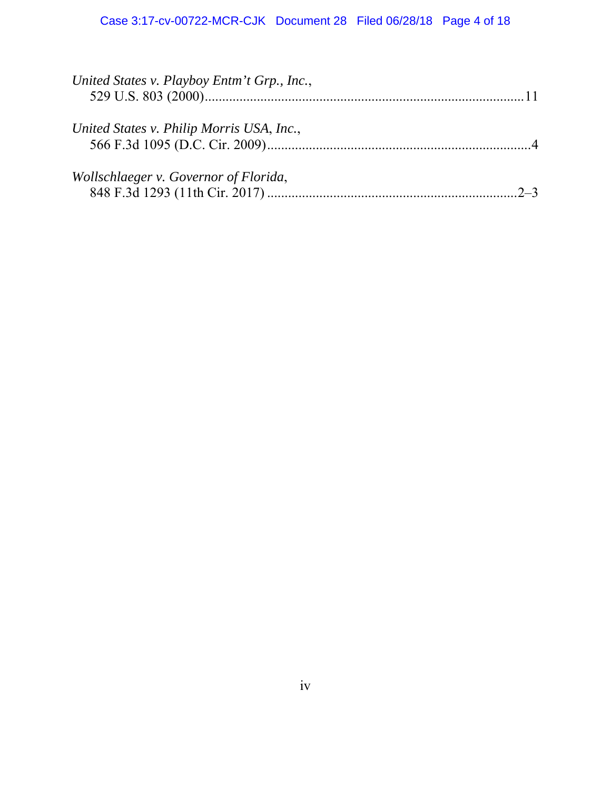| United States v. Playboy Entm't Grp., Inc., |
|---------------------------------------------|
| United States v. Philip Morris USA, Inc.,   |
| Wollschlaeger v. Governor of Florida,       |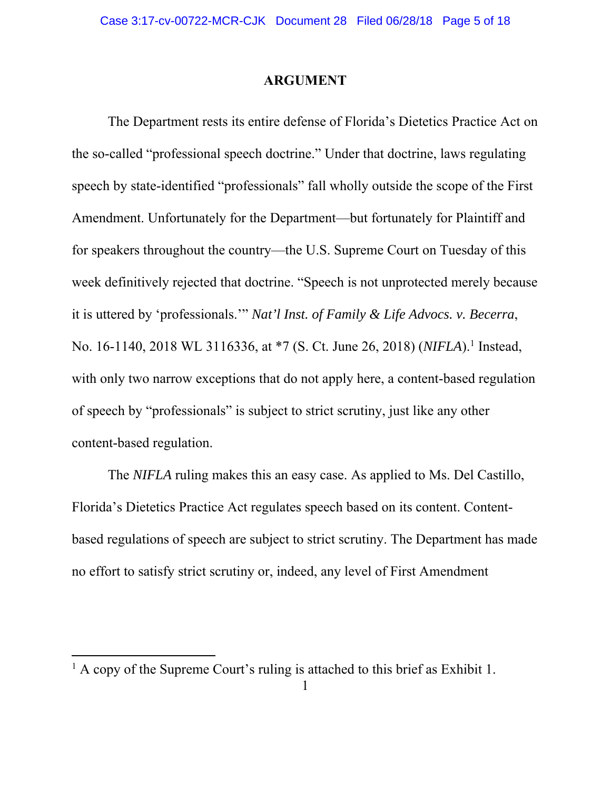#### **ARGUMENT**

 The Department rests its entire defense of Florida's Dietetics Practice Act on the so-called "professional speech doctrine." Under that doctrine, laws regulating speech by state-identified "professionals" fall wholly outside the scope of the First Amendment. Unfortunately for the Department—but fortunately for Plaintiff and for speakers throughout the country—the U.S. Supreme Court on Tuesday of this week definitively rejected that doctrine. "Speech is not unprotected merely because it is uttered by 'professionals.'" *Nat'l Inst. of Family & Life Advocs. v. Becerra*, No. 16-1140, 2018 WL 3116336, at \*7 (S. Ct. June 26, 2018) (*NIFLA*).<sup>1</sup> Instead, with only two narrow exceptions that do not apply here, a content-based regulation of speech by "professionals" is subject to strict scrutiny, just like any other content-based regulation.

The *NIFLA* ruling makes this an easy case. As applied to Ms. Del Castillo, Florida's Dietetics Practice Act regulates speech based on its content. Contentbased regulations of speech are subject to strict scrutiny. The Department has made no effort to satisfy strict scrutiny or, indeed, any level of First Amendment

<sup>&</sup>lt;sup>1</sup> A copy of the Supreme Court's ruling is attached to this brief as Exhibit 1.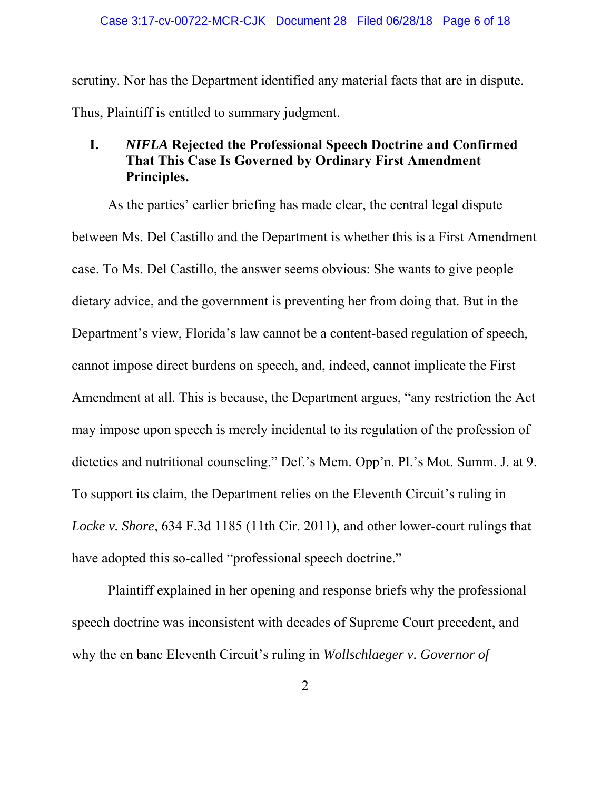scrutiny. Nor has the Department identified any material facts that are in dispute. Thus, Plaintiff is entitled to summary judgment.

#### **I.** *NIFLA* **Rejected the Professional Speech Doctrine and Confirmed That This Case Is Governed by Ordinary First Amendment Principles.**

As the parties' earlier briefing has made clear, the central legal dispute between Ms. Del Castillo and the Department is whether this is a First Amendment case. To Ms. Del Castillo, the answer seems obvious: She wants to give people dietary advice, and the government is preventing her from doing that. But in the Department's view, Florida's law cannot be a content-based regulation of speech, cannot impose direct burdens on speech, and, indeed, cannot implicate the First Amendment at all. This is because, the Department argues, "any restriction the Act may impose upon speech is merely incidental to its regulation of the profession of dietetics and nutritional counseling." Def.'s Mem. Opp'n. Pl.'s Mot. Summ. J. at 9. To support its claim, the Department relies on the Eleventh Circuit's ruling in *Locke v. Shore*, 634 F.3d 1185 (11th Cir. 2011), and other lower-court rulings that have adopted this so-called "professional speech doctrine."

 Plaintiff explained in her opening and response briefs why the professional speech doctrine was inconsistent with decades of Supreme Court precedent, and why the en banc Eleventh Circuit's ruling in *Wollschlaeger v. Governor of*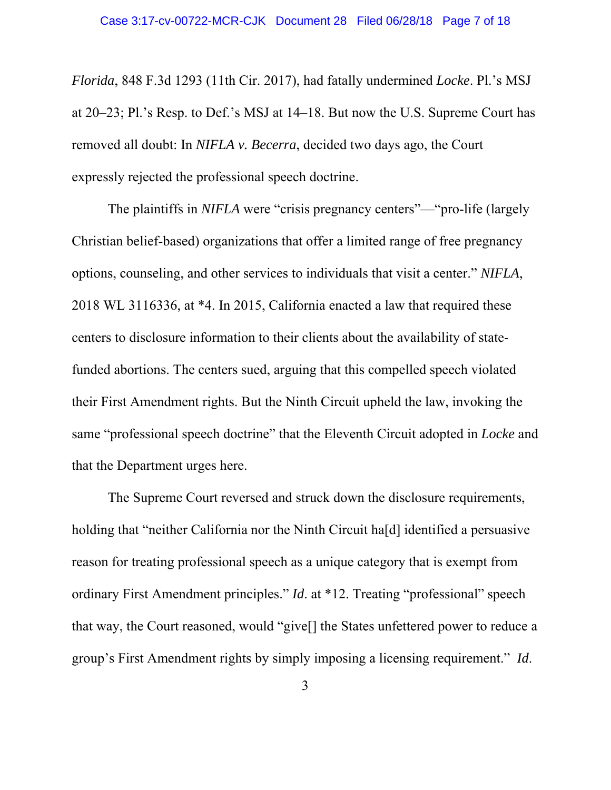*Florida*, 848 F.3d 1293 (11th Cir. 2017), had fatally undermined *Locke*. Pl.'s MSJ at 20–23; Pl.'s Resp. to Def.'s MSJ at 14–18. But now the U.S. Supreme Court has removed all doubt: In *NIFLA v. Becerra*, decided two days ago, the Court expressly rejected the professional speech doctrine.

 The plaintiffs in *NIFLA* were "crisis pregnancy centers"—"pro-life (largely Christian belief-based) organizations that offer a limited range of free pregnancy options, counseling, and other services to individuals that visit a center." *NIFLA*, 2018 WL 3116336, at \*4. In 2015, California enacted a law that required these centers to disclosure information to their clients about the availability of statefunded abortions. The centers sued, arguing that this compelled speech violated their First Amendment rights. But the Ninth Circuit upheld the law, invoking the same "professional speech doctrine" that the Eleventh Circuit adopted in *Locke* and that the Department urges here.

 The Supreme Court reversed and struck down the disclosure requirements, holding that "neither California nor the Ninth Circuit ha[d] identified a persuasive reason for treating professional speech as a unique category that is exempt from ordinary First Amendment principles." *Id*. at \*12. Treating "professional" speech that way, the Court reasoned, would "give[] the States unfettered power to reduce a group's First Amendment rights by simply imposing a licensing requirement." *Id*.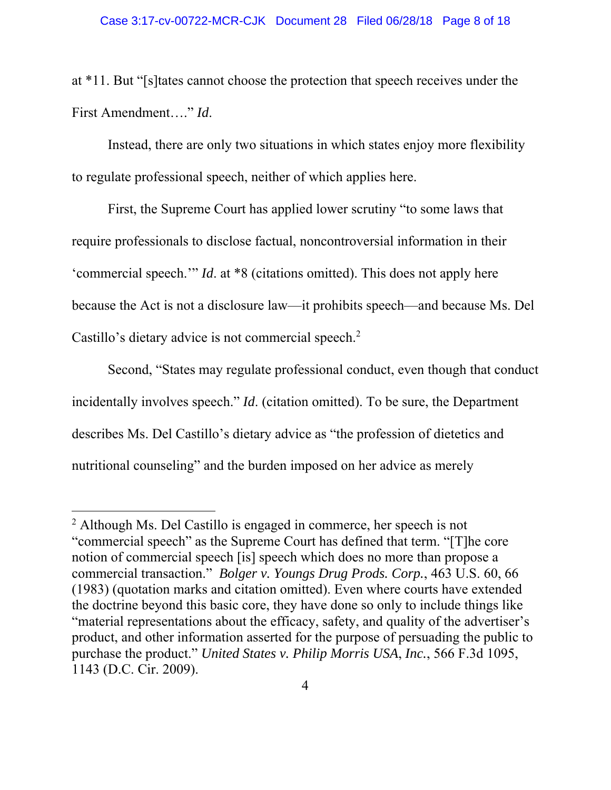at \*11. But "[s]tates cannot choose the protection that speech receives under the First Amendment…." *Id*.

Instead, there are only two situations in which states enjoy more flexibility to regulate professional speech, neither of which applies here.

First, the Supreme Court has applied lower scrutiny "to some laws that require professionals to disclose factual, noncontroversial information in their 'commercial speech.'" *Id*. at \*8 (citations omitted). This does not apply here because the Act is not a disclosure law—it prohibits speech—and because Ms. Del Castillo's dietary advice is not commercial speech.<sup>2</sup>

Second, "States may regulate professional conduct, even though that conduct incidentally involves speech." *Id*. (citation omitted). To be sure, the Department describes Ms. Del Castillo's dietary advice as "the profession of dietetics and nutritional counseling" and the burden imposed on her advice as merely

<sup>&</sup>lt;sup>2</sup> Although Ms. Del Castillo is engaged in commerce, her speech is not "commercial speech" as the Supreme Court has defined that term. "[T]he core notion of commercial speech [is] speech which does no more than propose a commercial transaction." *Bolger v. Youngs Drug Prods. Corp.*, 463 U.S. 60, 66 (1983) (quotation marks and citation omitted). Even where courts have extended the doctrine beyond this basic core, they have done so only to include things like "material representations about the efficacy, safety, and quality of the advertiser's product, and other information asserted for the purpose of persuading the public to purchase the product." *United States v. Philip Morris USA*, *Inc.*, 566 F.3d 1095, 1143 (D.C. Cir. 2009).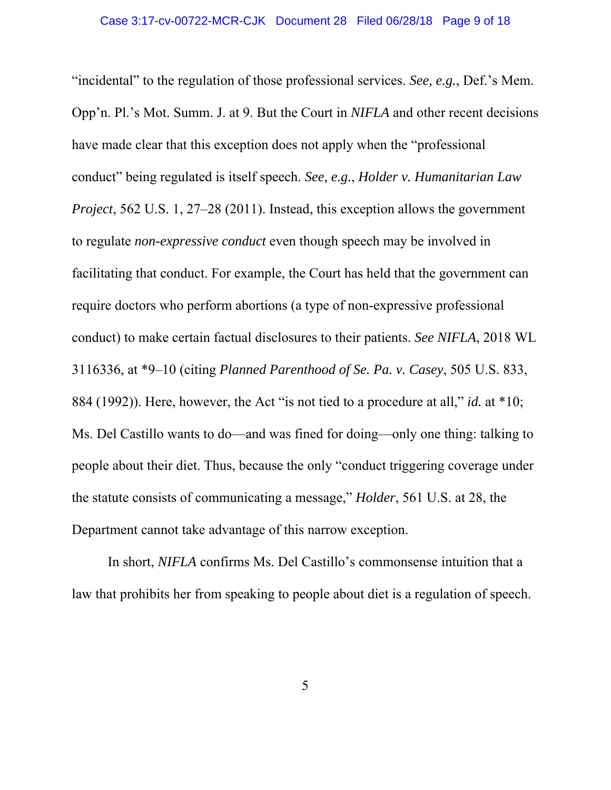"incidental" to the regulation of those professional services. *See, e.g.*, Def.'s Mem. Opp'n. Pl.'s Mot. Summ. J. at 9. But the Court in *NIFLA* and other recent decisions have made clear that this exception does not apply when the "professional conduct" being regulated is itself speech. *See, e.g.*, *Holder v. Humanitarian Law Project*, 562 U.S. 1, 27–28 (2011). Instead, this exception allows the government to regulate *non-expressive conduct* even though speech may be involved in facilitating that conduct. For example, the Court has held that the government can require doctors who perform abortions (a type of non-expressive professional conduct) to make certain factual disclosures to their patients. *See NIFLA*, 2018 WL 3116336, at \*9–10 (citing *Planned Parenthood of Se. Pa. v. Casey*, 505 U.S. 833, 884 (1992)). Here, however, the Act "is not tied to a procedure at all," *id.* at \*10; Ms. Del Castillo wants to do—and was fined for doing—only one thing: talking to people about their diet. Thus, because the only "conduct triggering coverage under the statute consists of communicating a message," *Holder*, 561 U.S. at 28, the Department cannot take advantage of this narrow exception.

 In short, *NIFLA* confirms Ms. Del Castillo's commonsense intuition that a law that prohibits her from speaking to people about diet is a regulation of speech.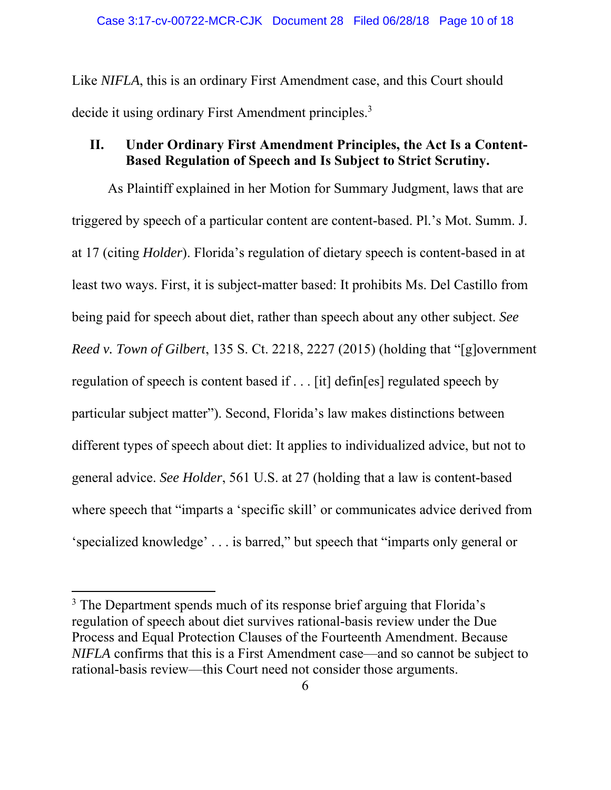Like *NIFLA*, this is an ordinary First Amendment case, and this Court should decide it using ordinary First Amendment principles.<sup>3</sup>

### **II. Under Ordinary First Amendment Principles, the Act Is a Content-Based Regulation of Speech and Is Subject to Strict Scrutiny.**

As Plaintiff explained in her Motion for Summary Judgment, laws that are triggered by speech of a particular content are content-based. Pl.'s Mot. Summ. J. at 17 (citing *Holder*). Florida's regulation of dietary speech is content-based in at least two ways. First, it is subject-matter based: It prohibits Ms. Del Castillo from being paid for speech about diet, rather than speech about any other subject. *See Reed v. Town of Gilbert*, 135 S. Ct. 2218, 2227 (2015) (holding that "[g]overnment regulation of speech is content based if . . . [it] defin[es] regulated speech by particular subject matter"). Second, Florida's law makes distinctions between different types of speech about diet: It applies to individualized advice, but not to general advice. *See Holder*, 561 U.S. at 27 (holding that a law is content-based where speech that "imparts a 'specific skill' or communicates advice derived from 'specialized knowledge' . . . is barred," but speech that "imparts only general or

<sup>&</sup>lt;sup>3</sup> The Department spends much of its response brief arguing that Florida's regulation of speech about diet survives rational-basis review under the Due Process and Equal Protection Clauses of the Fourteenth Amendment. Because *NIFLA* confirms that this is a First Amendment case—and so cannot be subject to rational-basis review—this Court need not consider those arguments.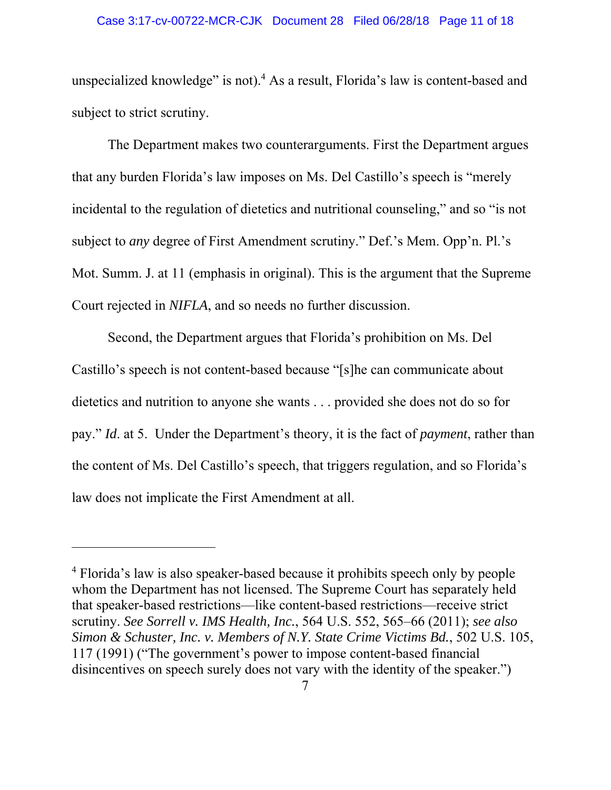unspecialized knowledge" is not).<sup>4</sup> As a result, Florida's law is content-based and subject to strict scrutiny.

The Department makes two counterarguments. First the Department argues that any burden Florida's law imposes on Ms. Del Castillo's speech is "merely incidental to the regulation of dietetics and nutritional counseling," and so "is not subject to *any* degree of First Amendment scrutiny." Def.'s Mem. Opp'n. Pl.'s Mot. Summ. J. at 11 (emphasis in original). This is the argument that the Supreme Court rejected in *NIFLA*, and so needs no further discussion.

 Second, the Department argues that Florida's prohibition on Ms. Del Castillo's speech is not content-based because "[s]he can communicate about dietetics and nutrition to anyone she wants . . . provided she does not do so for pay." *Id*. at 5. Under the Department's theory, it is the fact of *payment*, rather than the content of Ms. Del Castillo's speech, that triggers regulation, and so Florida's law does not implicate the First Amendment at all.

<sup>&</sup>lt;sup>4</sup> Florida's law is also speaker-based because it prohibits speech only by people whom the Department has not licensed. The Supreme Court has separately held that speaker-based restrictions—like content-based restrictions—receive strict scrutiny. *See Sorrell v. IMS Health, Inc.*, 564 U.S. 552, 565–66 (2011); *see also Simon & Schuster, Inc. v. Members of N.Y. State Crime Victims Bd.*, 502 U.S. 105, 117 (1991) ("The government's power to impose content-based financial disincentives on speech surely does not vary with the identity of the speaker.")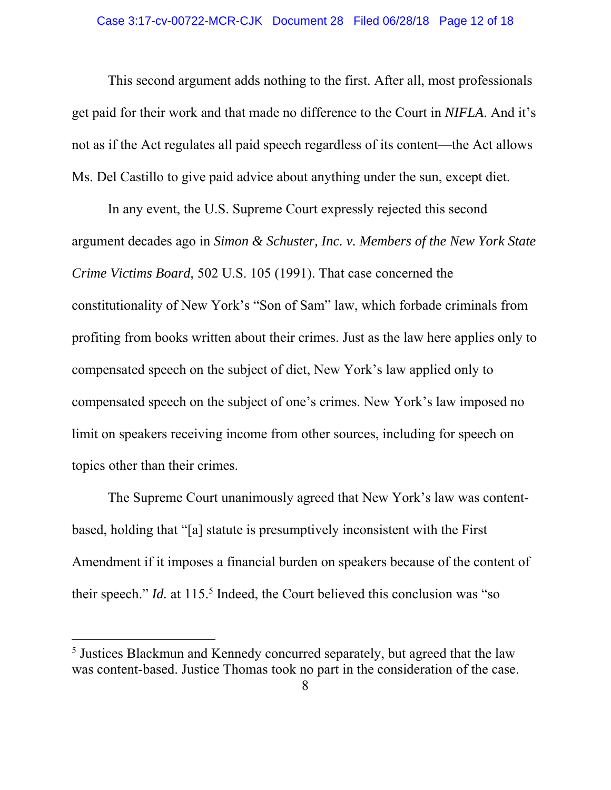This second argument adds nothing to the first. After all, most professionals get paid for their work and that made no difference to the Court in *NIFLA*. And it's not as if the Act regulates all paid speech regardless of its content—the Act allows Ms. Del Castillo to give paid advice about anything under the sun, except diet.

In any event, the U.S. Supreme Court expressly rejected this second argument decades ago in *Simon & Schuster, Inc. v. Members of the New York State Crime Victims Board*, 502 U.S. 105 (1991). That case concerned the constitutionality of New York's "Son of Sam" law, which forbade criminals from profiting from books written about their crimes. Just as the law here applies only to compensated speech on the subject of diet, New York's law applied only to compensated speech on the subject of one's crimes. New York's law imposed no limit on speakers receiving income from other sources, including for speech on topics other than their crimes.

The Supreme Court unanimously agreed that New York's law was contentbased, holding that "[a] statute is presumptively inconsistent with the First Amendment if it imposes a financial burden on speakers because of the content of their speech." *Id.* at 115.<sup>5</sup> Indeed, the Court believed this conclusion was "so

<sup>&</sup>lt;sup>5</sup> Justices Blackmun and Kennedy concurred separately, but agreed that the law was content-based. Justice Thomas took no part in the consideration of the case.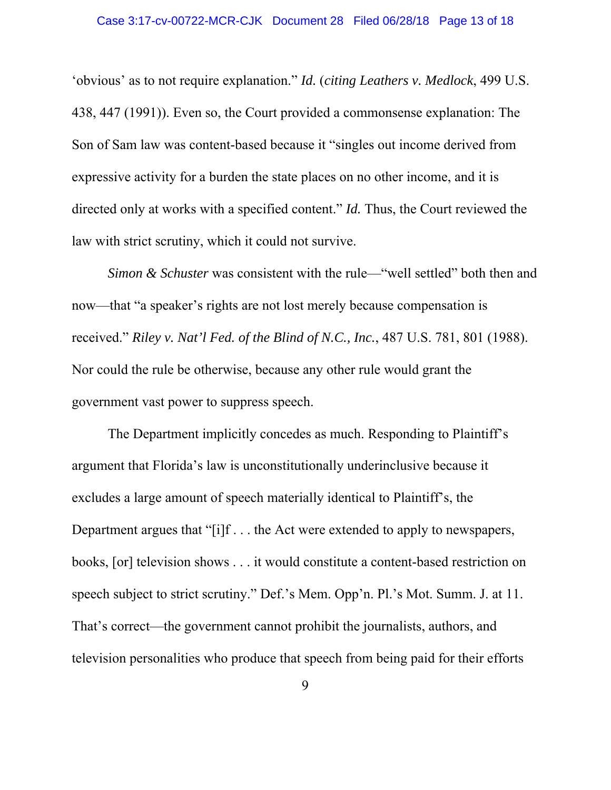'obvious' as to not require explanation." *Id.* (*citing Leathers v. Medlock*, 499 U.S. 438, 447 (1991)). Even so, the Court provided a commonsense explanation: The Son of Sam law was content-based because it "singles out income derived from expressive activity for a burden the state places on no other income, and it is directed only at works with a specified content." *Id.* Thus, the Court reviewed the law with strict scrutiny, which it could not survive.

*Simon & Schuster* was consistent with the rule—"well settled" both then and now—that "a speaker's rights are not lost merely because compensation is received." *Riley v. Nat'l Fed. of the Blind of N.C., Inc.*, 487 U.S. 781, 801 (1988). Nor could the rule be otherwise, because any other rule would grant the government vast power to suppress speech.

The Department implicitly concedes as much. Responding to Plaintiff's argument that Florida's law is unconstitutionally underinclusive because it excludes a large amount of speech materially identical to Plaintiff's, the Department argues that "[i]f . . . the Act were extended to apply to newspapers, books, [or] television shows . . . it would constitute a content-based restriction on speech subject to strict scrutiny." Def.'s Mem. Opp'n. Pl.'s Mot. Summ. J. at 11. That's correct—the government cannot prohibit the journalists, authors, and television personalities who produce that speech from being paid for their efforts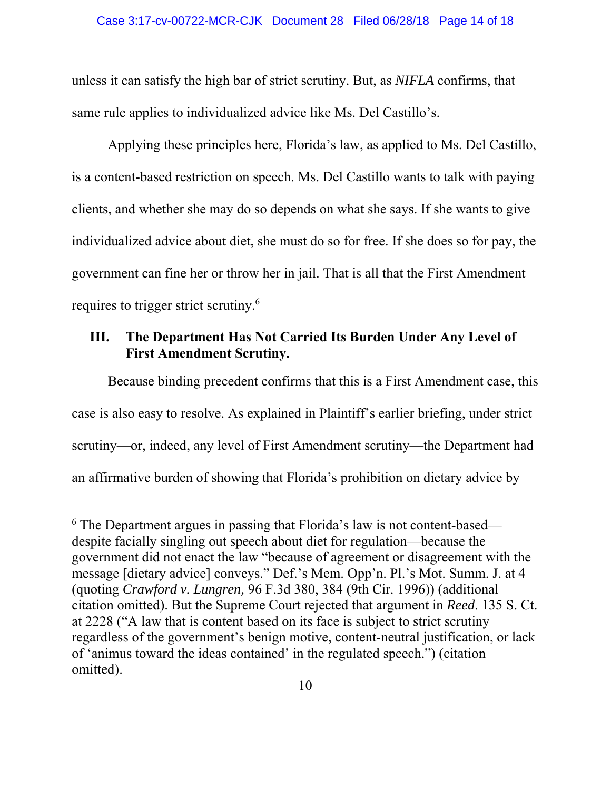unless it can satisfy the high bar of strict scrutiny. But, as *NIFLA* confirms, that same rule applies to individualized advice like Ms. Del Castillo's.

Applying these principles here, Florida's law, as applied to Ms. Del Castillo, is a content-based restriction on speech. Ms. Del Castillo wants to talk with paying clients, and whether she may do so depends on what she says. If she wants to give individualized advice about diet, she must do so for free. If she does so for pay, the government can fine her or throw her in jail. That is all that the First Amendment requires to trigger strict scrutiny.<sup>6</sup>

#### **III. The Department Has Not Carried Its Burden Under Any Level of First Amendment Scrutiny.**

Because binding precedent confirms that this is a First Amendment case, this case is also easy to resolve. As explained in Plaintiff's earlier briefing, under strict scrutiny—or, indeed, any level of First Amendment scrutiny—the Department had an affirmative burden of showing that Florida's prohibition on dietary advice by

<sup>&</sup>lt;sup>6</sup> The Department argues in passing that Florida's law is not content-based despite facially singling out speech about diet for regulation—because the government did not enact the law "because of agreement or disagreement with the message [dietary advice] conveys." Def.'s Mem. Opp'n. Pl.'s Mot. Summ. J. at 4 (quoting *Crawford v. Lungren,* 96 F.3d 380, 384 (9th Cir. 1996)) (additional citation omitted). But the Supreme Court rejected that argument in *Reed*. 135 S. Ct. at 2228 ("A law that is content based on its face is subject to strict scrutiny regardless of the government's benign motive, content-neutral justification, or lack of 'animus toward the ideas contained' in the regulated speech.") (citation omitted).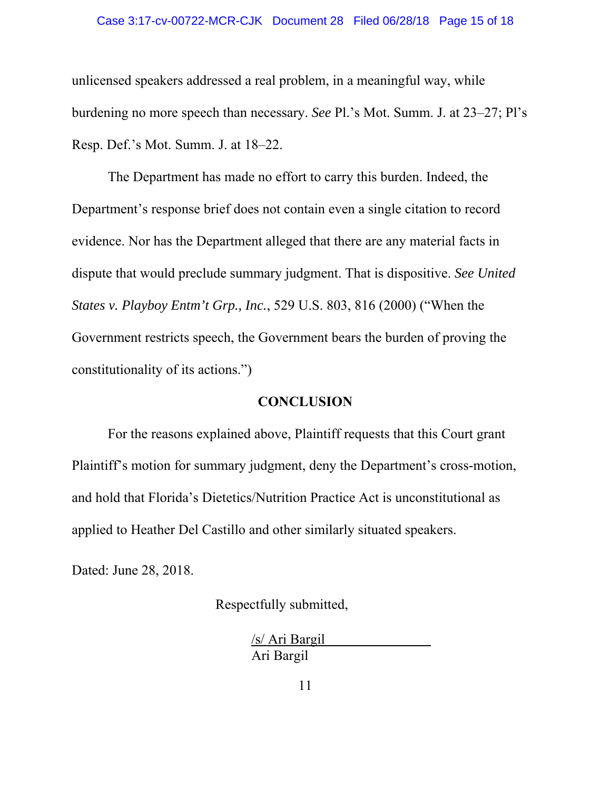#### Case 3:17-cv-00722-MCR-CJK Document 28 Filed 06/28/18 Page 15 of 18

unlicensed speakers addressed a real problem, in a meaningful way, while burdening no more speech than necessary. *See* Pl.'s Mot. Summ. J. at 23–27; Pl's Resp. Def.'s Mot. Summ. J. at 18–22.

The Department has made no effort to carry this burden. Indeed, the Department's response brief does not contain even a single citation to record evidence. Nor has the Department alleged that there are any material facts in dispute that would preclude summary judgment. That is dispositive. *See United States v. Playboy Entm't Grp., Inc.*, 529 U.S. 803, 816 (2000) ("When the Government restricts speech, the Government bears the burden of proving the constitutionality of its actions.")

#### **CONCLUSION**

For the reasons explained above, Plaintiff requests that this Court grant Plaintiff's motion for summary judgment, deny the Department's cross-motion, and hold that Florida's Dietetics/Nutrition Practice Act is unconstitutional as applied to Heather Del Castillo and other similarly situated speakers.

Dated: June 28, 2018.

Respectfully submitted,

/s/ Ari Bargil Ari Bargil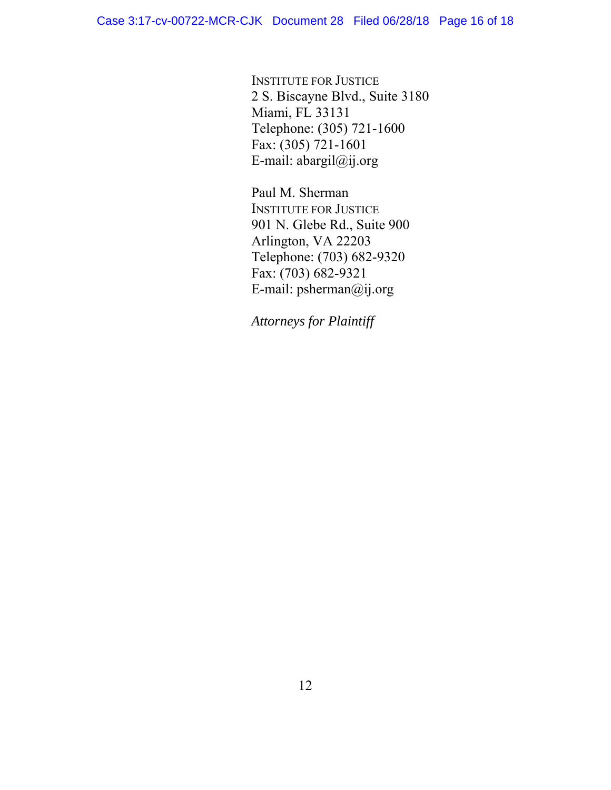INSTITUTE FOR JUSTICE 2 S. Biscayne Blvd., Suite 3180 Miami, FL 33131 Telephone: (305) 721-1600 Fax: (305) 721-1601 E-mail: abargil@ij.org

Paul M. Sherman INSTITUTE FOR JUSTICE 901 N. Glebe Rd., Suite 900 Arlington, VA 22203 Telephone: (703) 682-9320 Fax: (703) 682-9321 E-mail: psherman@ij.org

*Attorneys for Plaintiff*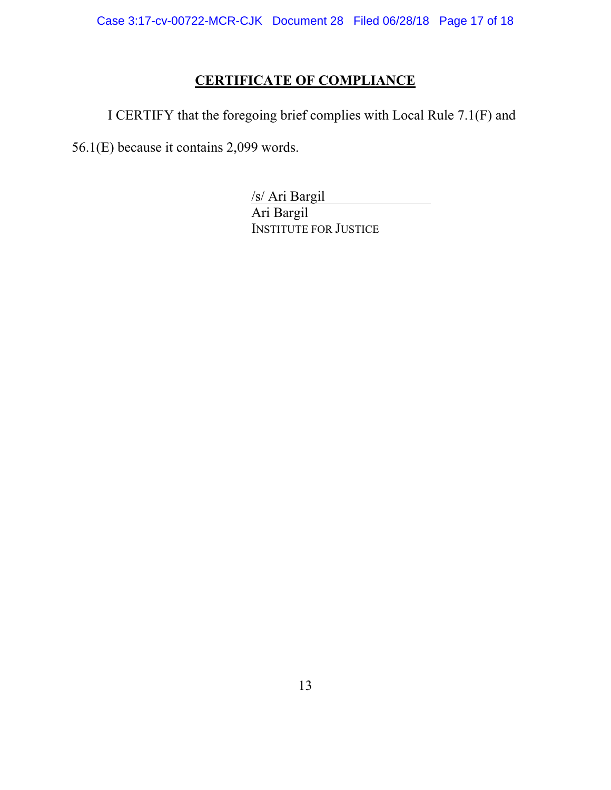# **CERTIFICATE OF COMPLIANCE**

I CERTIFY that the foregoing brief complies with Local Rule 7.1(F) and

56.1(E) because it contains 2,099 words.

/s/ Ari Bargil Ari Bargil INSTITUTE FOR JUSTICE